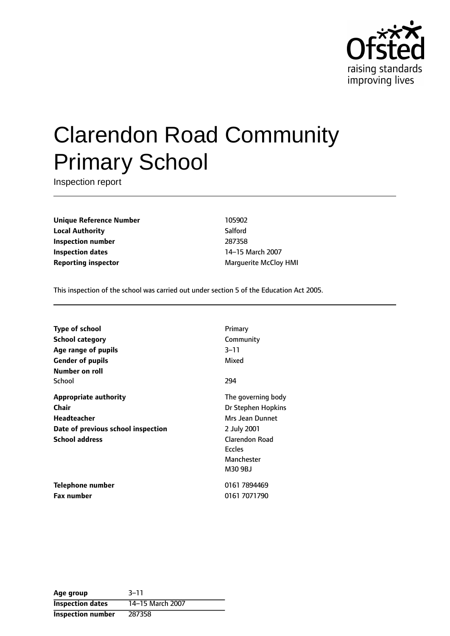

# Clarendon Road Community Primary School

Inspection report

**Unique Reference Number** 105902 **Local Authority** Salford **Inspection number** 287358 **Inspection dates** 14-15 March 2007 **Reporting inspector** Marguerite McCloy HMI

This inspection of the school was carried out under section 5 of the Education Act 2005.

| <b>Type of school</b>              | Primary               |
|------------------------------------|-----------------------|
| School category                    | Community             |
| Age range of pupils                | 3–11                  |
| <b>Gender of pupils</b>            | Mixed                 |
| Number on roll                     |                       |
| School                             | 294                   |
| <b>Appropriate authority</b>       | The governing body    |
| Chair                              | Dr Stephen Hopkins    |
| Headteacher                        | Mrs Jean Dunnet       |
| Date of previous school inspection | 2 July 2001           |
| <b>School address</b>              | <b>Clarendon Road</b> |
|                                    | <b>Eccles</b>         |
|                                    | Manchester            |
|                                    | M30 9BJ               |
| Telephone number                   | 0161 7894469          |
| <b>Fax number</b>                  | 0161 7071790          |

| Age group                | $3 - 11$         |
|--------------------------|------------------|
| <b>Inspection dates</b>  | 14-15 March 2007 |
| <b>Inspection number</b> | 287358           |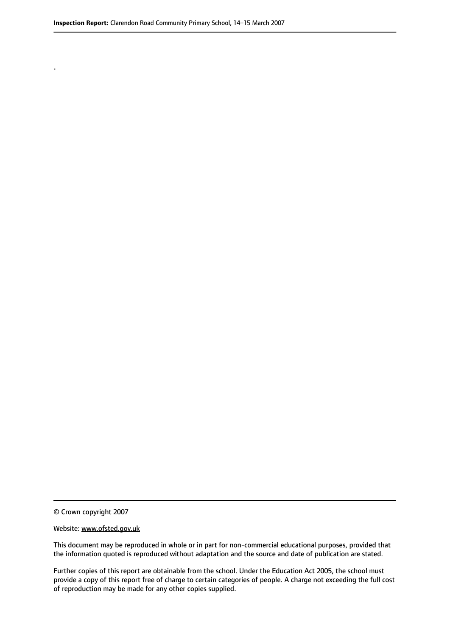.

© Crown copyright 2007

#### Website: www.ofsted.gov.uk

This document may be reproduced in whole or in part for non-commercial educational purposes, provided that the information quoted is reproduced without adaptation and the source and date of publication are stated.

Further copies of this report are obtainable from the school. Under the Education Act 2005, the school must provide a copy of this report free of charge to certain categories of people. A charge not exceeding the full cost of reproduction may be made for any other copies supplied.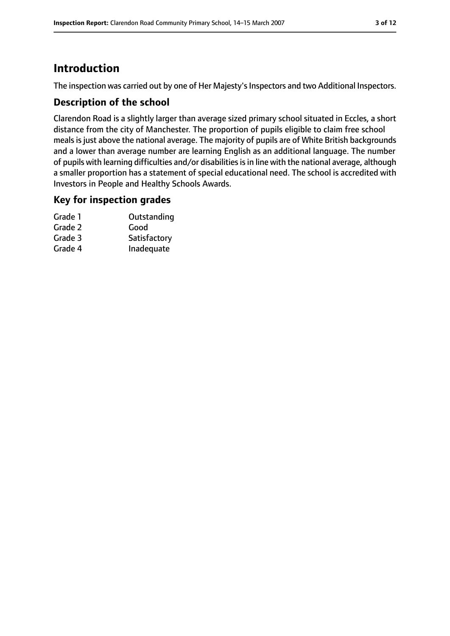# **Introduction**

The inspection was carried out by one of Her Majesty's Inspectors and two Additional Inspectors.

## **Description of the school**

Clarendon Road is a slightly larger than average sized primary school situated in Eccles, a short distance from the city of Manchester. The proportion of pupils eligible to claim free school meals is just above the national average. The majority of pupils are of White British backgrounds and a lower than average number are learning English as an additional language. The number of pupils with learning difficulties and/or disabilities is in line with the national average, although a smaller proportion has a statement of special educational need. The school is accredited with Investors in People and Healthy Schools Awards.

#### **Key for inspection grades**

| Grade 1 | Outstanding  |
|---------|--------------|
| Grade 2 | Good         |
| Grade 3 | Satisfactory |
| Grade 4 | Inadequate   |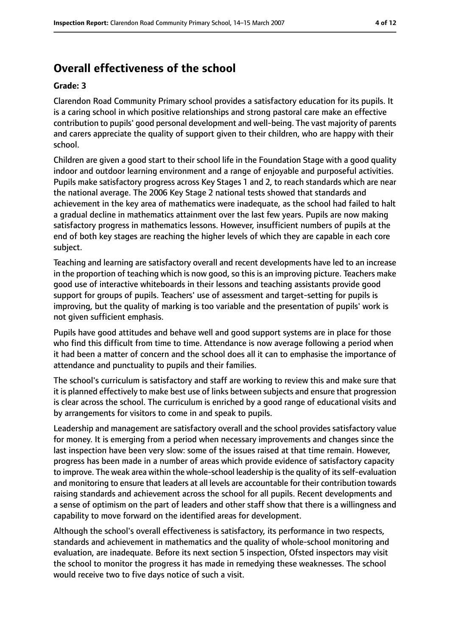# **Overall effectiveness of the school**

#### **Grade: 3**

Clarendon Road Community Primary school provides a satisfactory education for its pupils. It is a caring school in which positive relationships and strong pastoral care make an effective contribution to pupils' good personal development and well-being. The vast majority of parents and carers appreciate the quality of support given to their children, who are happy with their school.

Children are given a good start to their school life in the Foundation Stage with a good quality indoor and outdoor learning environment and a range of enjoyable and purposeful activities. Pupils make satisfactory progress across Key Stages 1 and 2, to reach standards which are near the national average. The 2006 Key Stage 2 national tests showed that standards and achievement in the key area of mathematics were inadequate, as the school had failed to halt a gradual decline in mathematics attainment over the last few years. Pupils are now making satisfactory progress in mathematics lessons. However, insufficient numbers of pupils at the end of both key stages are reaching the higher levels of which they are capable in each core subject.

Teaching and learning are satisfactory overall and recent developments have led to an increase in the proportion of teaching which is now good, so this is an improving picture. Teachers make good use of interactive whiteboards in their lessons and teaching assistants provide good support for groups of pupils. Teachers' use of assessment and target-setting for pupils is improving, but the quality of marking is too variable and the presentation of pupils' work is not given sufficient emphasis.

Pupils have good attitudes and behave well and good support systems are in place for those who find this difficult from time to time. Attendance is now average following a period when it had been a matter of concern and the school does all it can to emphasise the importance of attendance and punctuality to pupils and their families.

The school's curriculum is satisfactory and staff are working to review this and make sure that it is planned effectively to make best use of links between subjects and ensure that progression is clear across the school. The curriculum is enriched by a good range of educational visits and by arrangements for visitors to come in and speak to pupils.

Leadership and management are satisfactory overall and the school provides satisfactory value for money. It is emerging from a period when necessary improvements and changes since the last inspection have been very slow: some of the issues raised at that time remain. However, progress has been made in a number of areas which provide evidence of satisfactory capacity to improve. The weak area within the whole-school leadership isthe quality of itsself-evaluation and monitoring to ensure that leaders at all levels are accountable for their contribution towards raising standards and achievement across the school for all pupils. Recent developments and a sense of optimism on the part of leaders and other staff show that there is a willingness and capability to move forward on the identified areas for development.

Although the school's overall effectiveness is satisfactory, its performance in two respects, standards and achievement in mathematics and the quality of whole-school monitoring and evaluation, are inadequate. Before its next section 5 inspection, Ofsted inspectors may visit the school to monitor the progress it has made in remedying these weaknesses. The school would receive two to five days notice of such a visit.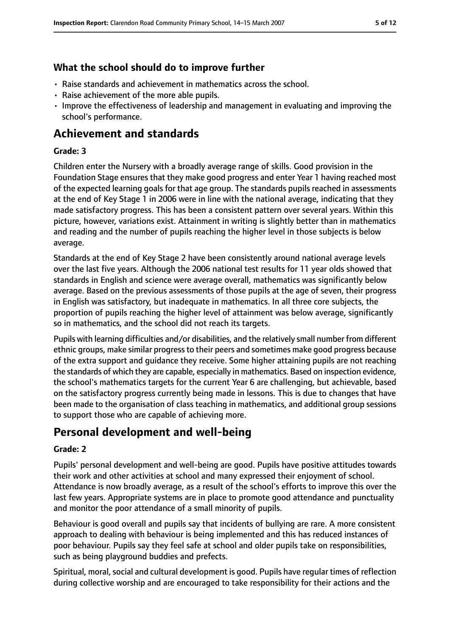## **What the school should do to improve further**

- Raise standards and achievement in mathematics across the school.
- Raise achievement of the more able pupils.
- Improve the effectiveness of leadership and management in evaluating and improving the school's performance.

# **Achievement and standards**

#### **Grade: 3**

Children enter the Nursery with a broadly average range of skills. Good provision in the Foundation Stage ensures that they make good progress and enter Year 1 having reached most of the expected learning goals for that age group. The standards pupils reached in assessments at the end of Key Stage 1 in 2006 were in line with the national average, indicating that they made satisfactory progress. This has been a consistent pattern over several years. Within this picture, however, variations exist. Attainment in writing is slightly better than in mathematics and reading and the number of pupils reaching the higher level in those subjects is below average.

Standards at the end of Key Stage 2 have been consistently around national average levels over the last five years. Although the 2006 national test results for 11 year olds showed that standards in English and science were average overall, mathematics was significantly below average. Based on the previous assessments of those pupils at the age of seven, their progress in English was satisfactory, but inadequate in mathematics. In all three core subjects, the proportion of pupils reaching the higher level of attainment was below average, significantly so in mathematics, and the school did not reach its targets.

Pupils with learning difficulties and/or disabilities, and the relatively small number from different ethnic groups, make similar progressto their peers and sometimes make good progress because of the extra support and guidance they receive. Some higher attaining pupils are not reaching the standards of which they are capable, especially in mathematics. Based on inspection evidence, the school's mathematics targets for the current Year 6 are challenging, but achievable, based on the satisfactory progress currently being made in lessons. This is due to changes that have been made to the organisation of class teaching in mathematics, and additional group sessions to support those who are capable of achieving more.

# **Personal development and well-being**

#### **Grade: 2**

Pupils' personal development and well-being are good. Pupils have positive attitudes towards their work and other activities at school and many expressed their enjoyment of school. Attendance is now broadly average, as a result of the school's efforts to improve this over the last few years. Appropriate systems are in place to promote good attendance and punctuality and monitor the poor attendance of a small minority of pupils.

Behaviour is good overall and pupils say that incidents of bullying are rare. A more consistent approach to dealing with behaviour is being implemented and this has reduced instances of poor behaviour. Pupils say they feel safe at school and older pupils take on responsibilities, such as being playground buddies and prefects.

Spiritual, moral, social and cultural development is good. Pupils have regular times of reflection during collective worship and are encouraged to take responsibility for their actions and the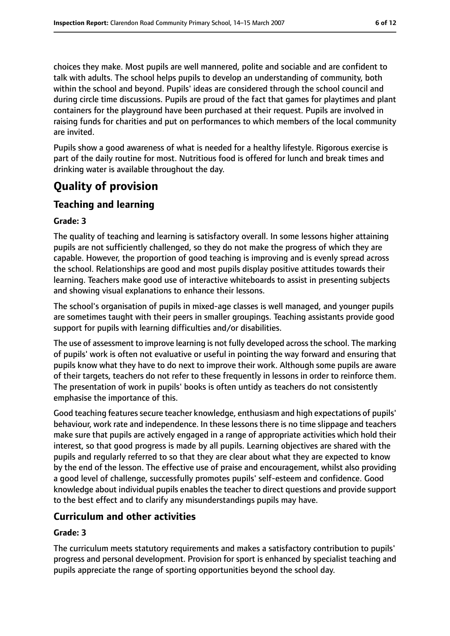choices they make. Most pupils are well mannered, polite and sociable and are confident to talk with adults. The school helps pupils to develop an understanding of community, both within the school and beyond. Pupils' ideas are considered through the school council and during circle time discussions. Pupils are proud of the fact that games for playtimes and plant containers for the playground have been purchased at their request. Pupils are involved in raising funds for charities and put on performances to which members of the local community are invited.

Pupils show a good awareness of what is needed for a healthy lifestyle. Rigorous exercise is part of the daily routine for most. Nutritious food is offered for lunch and break times and drinking water is available throughout the day.

# **Quality of provision**

## **Teaching and learning**

#### **Grade: 3**

The quality of teaching and learning is satisfactory overall. In some lessons higher attaining pupils are not sufficiently challenged, so they do not make the progress of which they are capable. However, the proportion of good teaching is improving and is evenly spread across the school. Relationships are good and most pupils display positive attitudes towards their learning. Teachers make good use of interactive whiteboards to assist in presenting subjects and showing visual explanations to enhance their lessons.

The school's organisation of pupils in mixed-age classes is well managed, and younger pupils are sometimes taught with their peers in smaller groupings. Teaching assistants provide good support for pupils with learning difficulties and/or disabilities.

The use of assessment to improve learning is not fully developed acrossthe school. The marking of pupils' work is often not evaluative or useful in pointing the way forward and ensuring that pupils know what they have to do next to improve their work. Although some pupils are aware of their targets, teachers do not refer to these frequently in lessons in order to reinforce them. The presentation of work in pupils' books is often untidy as teachers do not consistently emphasise the importance of this.

Good teaching features secure teacher knowledge, enthusiasm and high expectations of pupils' behaviour, work rate and independence. In these lessons there is no time slippage and teachers make sure that pupils are actively engaged in a range of appropriate activities which hold their interest, so that good progress is made by all pupils. Learning objectives are shared with the pupils and regularly referred to so that they are clear about what they are expected to know by the end of the lesson. The effective use of praise and encouragement, whilst also providing a good level of challenge, successfully promotes pupils' self-esteem and confidence. Good knowledge about individual pupils enables the teacher to direct questions and provide support to the best effect and to clarify any misunderstandings pupils may have.

## **Curriculum and other activities**

#### **Grade: 3**

The curriculum meets statutory requirements and makes a satisfactory contribution to pupils' progress and personal development. Provision for sport is enhanced by specialist teaching and pupils appreciate the range of sporting opportunities beyond the school day.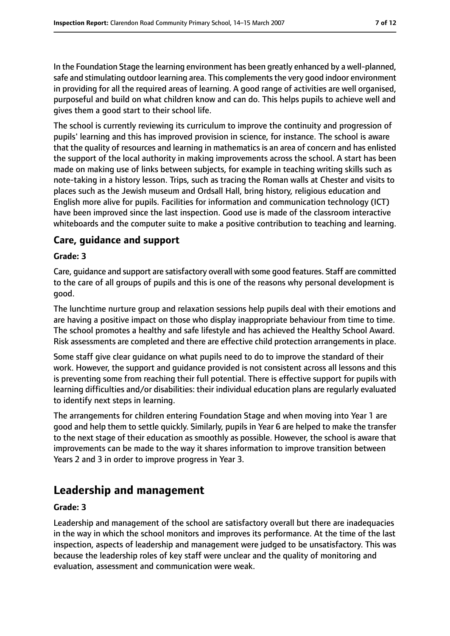In the Foundation Stage the learning environment has been greatly enhanced by a well-planned, safe and stimulating outdoor learning area. This complements the very good indoor environment in providing for all the required areas of learning. A good range of activities are well organised, purposeful and build on what children know and can do. This helps pupils to achieve well and gives them a good start to their school life.

The school is currently reviewing its curriculum to improve the continuity and progression of pupils' learning and this has improved provision in science, for instance. The school is aware that the quality of resources and learning in mathematics is an area of concern and has enlisted the support of the local authority in making improvements across the school. A start has been made on making use of links between subjects, for example in teaching writing skills such as note-taking in a history lesson. Trips, such as tracing the Roman walls at Chester and visits to places such as the Jewish museum and Ordsall Hall, bring history, religious education and English more alive for pupils. Facilities for information and communication technology (ICT) have been improved since the last inspection. Good use is made of the classroom interactive whiteboards and the computer suite to make a positive contribution to teaching and learning.

### **Care, guidance and support**

#### **Grade: 3**

Care, guidance and support are satisfactory overall with some good features. Staff are committed to the care of all groups of pupils and this is one of the reasons why personal development is good.

The lunchtime nurture group and relaxation sessions help pupils deal with their emotions and are having a positive impact on those who display inappropriate behaviour from time to time. The school promotes a healthy and safe lifestyle and has achieved the Healthy School Award. Risk assessments are completed and there are effective child protection arrangements in place.

Some staff give clear guidance on what pupils need to do to improve the standard of their work. However, the support and guidance provided is not consistent across all lessons and this is preventing some from reaching their full potential. There is effective support for pupils with learning difficulties and/or disabilities: their individual education plans are regularly evaluated to identify next steps in learning.

The arrangements for children entering Foundation Stage and when moving into Year 1 are good and help them to settle quickly. Similarly, pupils in Year 6 are helped to make the transfer to the next stage of their education as smoothly as possible. However, the school is aware that improvements can be made to the way it shares information to improve transition between Years 2 and 3 in order to improve progress in Year 3.

# **Leadership and management**

#### **Grade: 3**

Leadership and management of the school are satisfactory overall but there are inadequacies in the way in which the school monitors and improves its performance. At the time of the last inspection, aspects of leadership and management were judged to be unsatisfactory. This was because the leadership roles of key staff were unclear and the quality of monitoring and evaluation, assessment and communication were weak.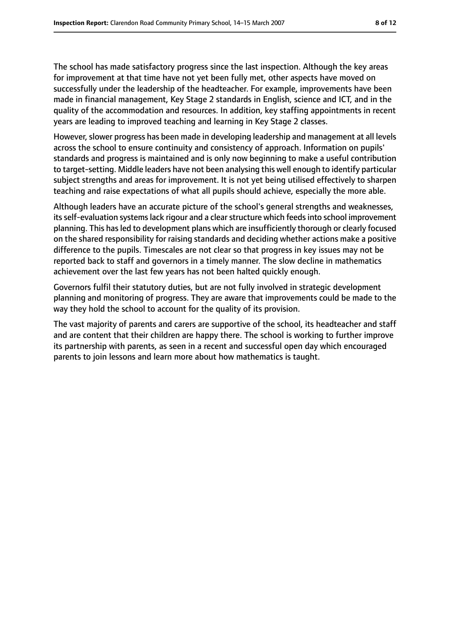The school has made satisfactory progress since the last inspection. Although the key areas for improvement at that time have not yet been fully met, other aspects have moved on successfully under the leadership of the headteacher. For example, improvements have been made in financial management, Key Stage 2 standards in English, science and ICT, and in the quality of the accommodation and resources. In addition, key staffing appointments in recent years are leading to improved teaching and learning in Key Stage 2 classes.

However, slower progress has been made in developing leadership and management at all levels across the school to ensure continuity and consistency of approach. Information on pupils' standards and progress is maintained and is only now beginning to make a useful contribution to target-setting. Middle leaders have not been analysing this well enough to identify particular subject strengths and areas for improvement. It is not yet being utilised effectively to sharpen teaching and raise expectations of what all pupils should achieve, especially the more able.

Although leaders have an accurate picture of the school's general strengths and weaknesses, its self-evaluation systems lack rigour and a clear structure which feeds into school improvement planning. This hasled to development plans which are insufficiently thorough or clearly focused on the shared responsibility for raising standards and deciding whether actions make a positive difference to the pupils. Timescales are not clear so that progress in key issues may not be reported back to staff and governors in a timely manner. The slow decline in mathematics achievement over the last few years has not been halted quickly enough.

Governors fulfil their statutory duties, but are not fully involved in strategic development planning and monitoring of progress. They are aware that improvements could be made to the way they hold the school to account for the quality of its provision.

The vast majority of parents and carers are supportive of the school, its headteacher and staff and are content that their children are happy there. The school is working to further improve its partnership with parents, as seen in a recent and successful open day which encouraged parents to join lessons and learn more about how mathematics is taught.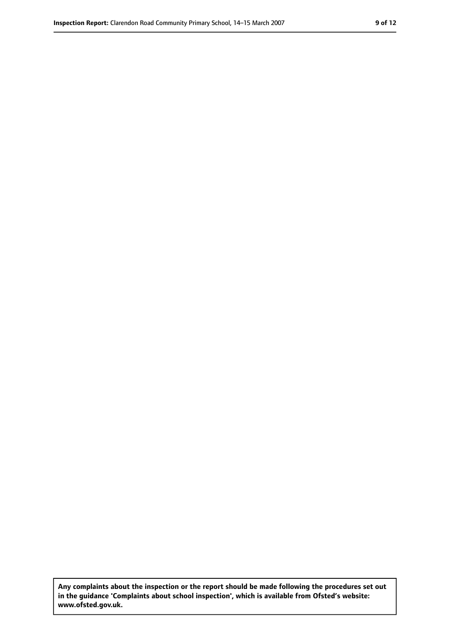**Any complaints about the inspection or the report should be made following the procedures set out in the guidance 'Complaints about school inspection', which is available from Ofsted's website: www.ofsted.gov.uk.**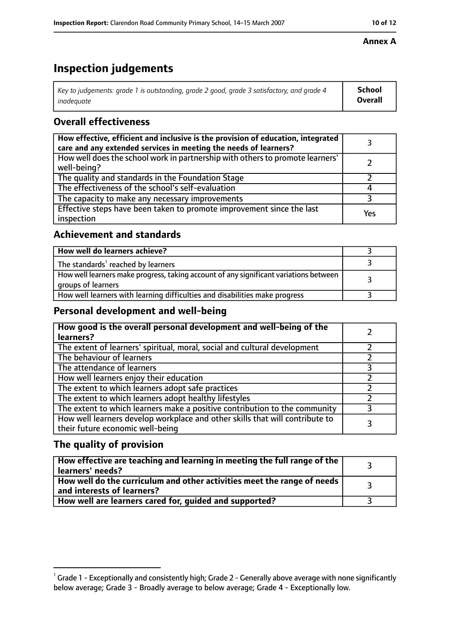# **Inspection judgements**

| Key to judgements: grade 1 is outstanding, grade 2 good, grade 3 satisfactory, and grade 4 | <b>School</b>  |
|--------------------------------------------------------------------------------------------|----------------|
| inadeauate                                                                                 | <b>Overall</b> |

# **Overall effectiveness**

| How effective, efficient and inclusive is the provision of education, integrated<br>care and any extended services in meeting the needs of learners? |     |
|------------------------------------------------------------------------------------------------------------------------------------------------------|-----|
| How well does the school work in partnership with others to promote learners'<br>well-being?                                                         |     |
| The quality and standards in the Foundation Stage                                                                                                    |     |
| The effectiveness of the school's self-evaluation                                                                                                    |     |
| The capacity to make any necessary improvements                                                                                                      |     |
| Effective steps have been taken to promote improvement since the last<br>inspection                                                                  | Yes |

# **Achievement and standards**

| How well do learners achieve?                                                                               |  |
|-------------------------------------------------------------------------------------------------------------|--|
| The standards <sup>1</sup> reached by learners                                                              |  |
| How well learners make progress, taking account of any significant variations between<br>groups of learners |  |
| How well learners with learning difficulties and disabilities make progress                                 |  |

## **Personal development and well-being**

| How good is the overall personal development and well-being of the<br>learners?                                  |  |
|------------------------------------------------------------------------------------------------------------------|--|
| The extent of learners' spiritual, moral, social and cultural development                                        |  |
| The behaviour of learners                                                                                        |  |
| The attendance of learners                                                                                       |  |
| How well learners enjoy their education                                                                          |  |
| The extent to which learners adopt safe practices                                                                |  |
| The extent to which learners adopt healthy lifestyles                                                            |  |
| The extent to which learners make a positive contribution to the community                                       |  |
| How well learners develop workplace and other skills that will contribute to<br>their future economic well-being |  |

# **The quality of provision**

| How effective are teaching and learning in meeting the full range of the<br>learners' needs?          |  |
|-------------------------------------------------------------------------------------------------------|--|
| How well do the curriculum and other activities meet the range of needs<br>and interests of learners? |  |
| How well are learners cared for, guided and supported?                                                |  |

## **Annex A**

 $^1$  Grade 1 - Exceptionally and consistently high; Grade 2 - Generally above average with none significantly below average; Grade 3 - Broadly average to below average; Grade 4 - Exceptionally low.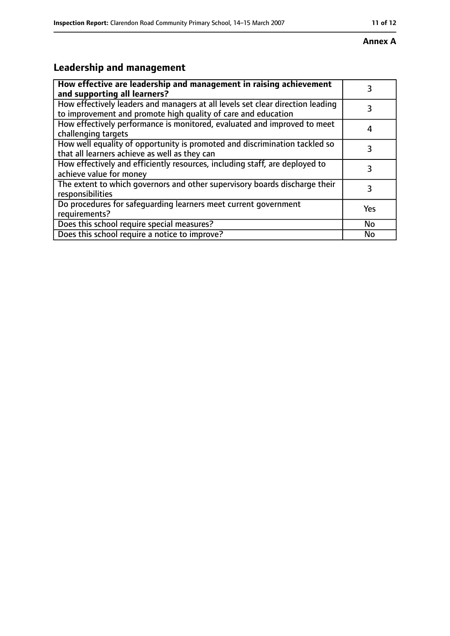#### **Annex A**

# **Leadership and management**

| How effective are leadership and management in raising achievement<br>and supporting all learners?                                              | 3   |
|-------------------------------------------------------------------------------------------------------------------------------------------------|-----|
| How effectively leaders and managers at all levels set clear direction leading<br>to improvement and promote high quality of care and education |     |
| How effectively performance is monitored, evaluated and improved to meet<br>challenging targets                                                 |     |
| How well equality of opportunity is promoted and discrimination tackled so<br>that all learners achieve as well as they can                     |     |
| How effectively and efficiently resources, including staff, are deployed to<br>achieve value for money                                          | 3   |
| The extent to which governors and other supervisory boards discharge their<br>responsibilities                                                  | 3   |
| Do procedures for safequarding learners meet current government<br>requirements?                                                                | Yes |
| Does this school require special measures?                                                                                                      | No  |
| Does this school require a notice to improve?                                                                                                   | Nο  |